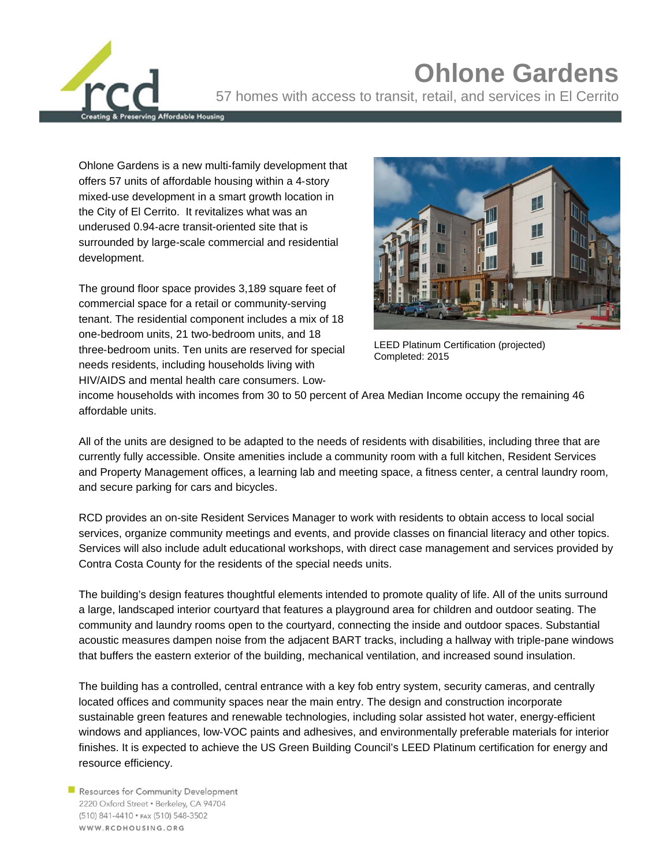**Ohlone Gardens** 57 homes with access to transit, retail, and services in El Cerrito

Ohlone Gardens is a new multi‐family development that offers 57 units of affordable housing within a 4‐story mixed‐use development in a smart growth location in the City of El Cerrito. It revitalizes what was an underused 0.94‐acre transit-oriented site that is surrounded by large-scale commercial and residential development.

dable Housing

The ground floor space provides 3,189 square feet of commercial space for a retail or community-serving tenant. The residential component includes a mix of 18 one‐bedroom units, 21 two‐bedroom units, and 18 three‐bedroom units. Ten units are reserved for special needs residents, including households living with HIV/AIDS and mental health care consumers. Low‐



LEED Platinum Certification (projected) Completed: 2015

income households with incomes from 30 to 50 percent of Area Median Income occupy the remaining 46 affordable units.

All of the units are designed to be adapted to the needs of residents with disabilities, including three that are currently fully accessible. Onsite amenities include a community room with a full kitchen, Resident Services and Property Management offices, a learning lab and meeting space, a fitness center, a central laundry room, and secure parking for cars and bicycles.

RCD provides an on‐site Resident Services Manager to work with residents to obtain access to local social services, organize community meetings and events, and provide classes on financial literacy and other topics. Services will also include adult educational workshops, with direct case management and services provided by Contra Costa County for the residents of the special needs units.

The building's design features thoughtful elements intended to promote quality of life. All of the units surround a large, landscaped interior courtyard that features a playground area for children and outdoor seating. The community and laundry rooms open to the courtyard, connecting the inside and outdoor spaces. Substantial acoustic measures dampen noise from the adjacent BART tracks, including a hallway with triple-pane windows that buffers the eastern exterior of the building, mechanical ventilation, and increased sound insulation.

The building has a controlled, central entrance with a key fob entry system, security cameras, and centrally located offices and community spaces near the main entry. The design and construction incorporate sustainable green features and renewable technologies, including solar assisted hot water, energy-efficient windows and appliances, low‐VOC paints and adhesives, and environmentally preferable materials for interior finishes. It is expected to achieve the US Green Building Council's LEED Platinum certification for energy and resource efficiency.

Resources for Community Development 2220 Oxford Street · Berkeley, CA 94704 (510) 841-4410 • FAX (510) 548-3502 WWW.RCDHOUSING.ORG